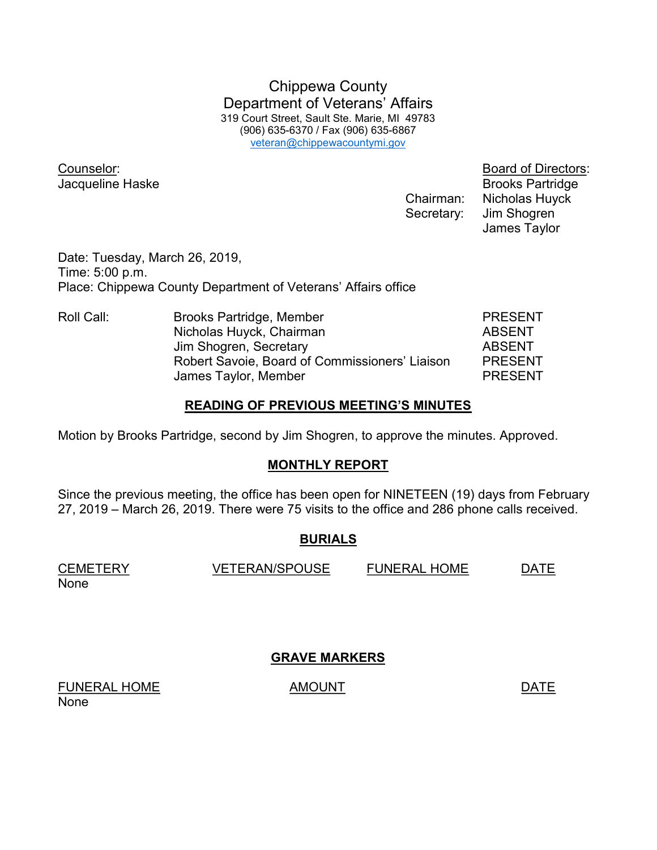Chippewa County Department of Veterans' Affairs 319 Court Street, Sault Ste. Marie, MI 49783 (906) 635-6370 / Fax (906) 635-6867 veteran@chippewacountymi.gov

Counselor: Board of Directors:

**Jacqueline Haske** Brooks Partridge Chairman: Nicholas Huyck Secretary: Jim Shogren James Taylor

Date: Tuesday, March 26, 2019, Time: 5:00 p.m. Place: Chippewa County Department of Veterans' Affairs office

Roll Call: Brooks Partridge, Member PRESENT Nicholas Huyck, Chairman **ABSENT** Jim Shogren, Secretary **ABSENT**  Robert Savoie, Board of Commissioners' Liaison PRESENT James Taylor, Member **PRESENT** 

#### READING OF PREVIOUS MEETING'S MINUTES

Motion by Brooks Partridge, second by Jim Shogren, to approve the minutes. Approved.

## MONTHLY REPORT

Since the previous meeting, the office has been open for NINETEEN (19) days from February 27, 2019 – March 26, 2019. There were 75 visits to the office and 286 phone calls received.

# BURIALS

CEMETERY VETERAN/SPOUSE FUNERAL HOME DATE None

GRAVE MARKERS

FUNERAL HOME AMOUNT AMOUNT None